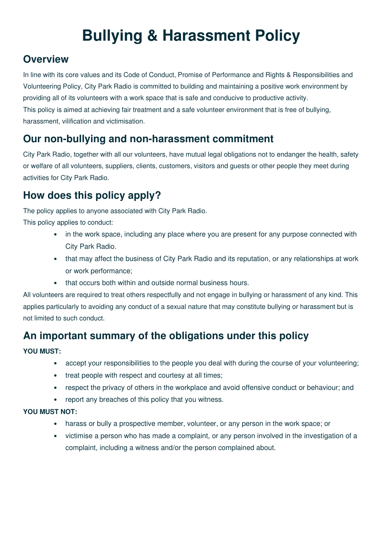# **Bullying & Harassment Policy**

#### **Overview**

In line with its core values and its Code of Conduct, Promise of Performance and Rights & Responsibilities and Volunteering Policy, City Park Radio is committed to building and maintaining a positive work environment by providing all of its volunteers with a work space that is safe and conducive to productive activity. This policy is aimed at achieving fair treatment and a safe volunteer environment that is free of bullying, harassment, vilification and victimisation.

### **Our non-bullying and non-harassment commitment**

City Park Radio, together with all our volunteers, have mutual legal obligations not to endanger the health, safety or welfare of all volunteers, suppliers, clients, customers, visitors and guests or other people they meet during activities for City Park Radio.

### **How does this policy apply?**

The policy applies to anyone associated with City Park Radio.

This policy applies to conduct:

- in the work space, including any place where you are present for any purpose connected with City Park Radio.
- that may affect the business of City Park Radio and its reputation, or any relationships at work or work performance;
- that occurs both within and outside normal business hours.

All volunteers are required to treat others respectfully and not engage in bullying or harassment of any kind. This applies particularly to avoiding any conduct of a sexual nature that may constitute bullying or harassment but is not limited to such conduct.

### **An important summary of the obligations under this policy**

#### **YOU MUST:**

- accept your responsibilities to the people you deal with during the course of your volunteering;
- treat people with respect and courtesy at all times;
- respect the privacy of others in the workplace and avoid offensive conduct or behaviour; and
- report any breaches of this policy that you witness.

#### **YOU MUST NOT:**

- harass or bully a prospective member, volunteer, or any person in the work space; or
- victimise a person who has made a complaint, or any person involved in the investigation of a complaint, including a witness and/or the person complained about.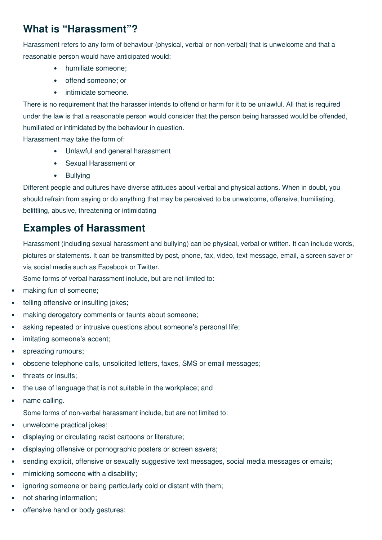### **What is "Harassment"?**

Harassment refers to any form of behaviour (physical, verbal or non-verbal) that is unwelcome and that a reasonable person would have anticipated would:

- humiliate someone;
- offend someone; or
- intimidate someone.

There is no requirement that the harasser intends to offend or harm for it to be unlawful. All that is required under the law is that a reasonable person would consider that the person being harassed would be offended, humiliated or intimidated by the behaviour in question.

Harassment may take the form of:

- Unlawful and general harassment
- Sexual Harassment or
- Bullying

Different people and cultures have diverse attitudes about verbal and physical actions. When in doubt, you should refrain from saying or do anything that may be perceived to be unwelcome, offensive, humiliating, belittling, abusive, threatening or intimidating

#### **Examples of Harassment**

Harassment (including sexual harassment and bullying) can be physical, verbal or written. It can include words, pictures or statements. It can be transmitted by post, phone, fax, video, text message, email, a screen saver or via social media such as Facebook or Twitter.

Some forms of verbal harassment include, but are not limited to:

- making fun of someone;
- telling offensive or insulting jokes;
- making derogatory comments or taunts about someone;
- asking repeated or intrusive questions about someone's personal life;
- imitating someone's accent;
- spreading rumours;
- obscene telephone calls, unsolicited letters, faxes, SMS or email messages;
- threats or insults;
- the use of language that is not suitable in the workplace; and
- name calling.

Some forms of non-verbal harassment include, but are not limited to:

- unwelcome practical jokes;
- displaying or circulating racist cartoons or literature;
- displaying offensive or pornographic posters or screen savers;
- sending explicit, offensive or sexually suggestive text messages, social media messages or emails;
- mimicking someone with a disability;
- ignoring someone or being particularly cold or distant with them;
- not sharing information;
- offensive hand or body gestures;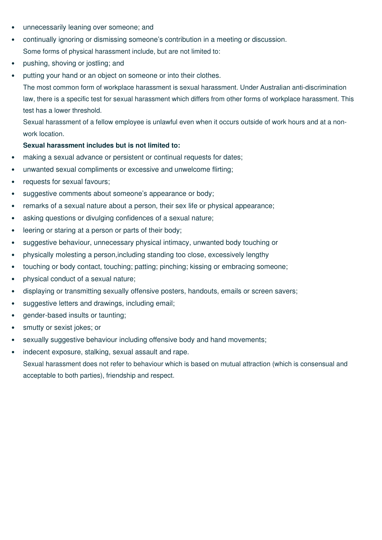- unnecessarily leaning over someone; and
- continually ignoring or dismissing someone's contribution in a meeting or discussion. Some forms of physical harassment include, but are not limited to:
- pushing, shoving or jostling; and
- putting your hand or an object on someone or into their clothes.

The most common form of workplace harassment is sexual harassment. Under Australian anti-discrimination law, there is a specific test for sexual harassment which differs from other forms of workplace harassment. This test has a lower threshold.

Sexual harassment of a fellow employee is unlawful even when it occurs outside of work hours and at a nonwork location.

#### **Sexual harassment includes but is not limited to:**

- making a sexual advance or persistent or continual requests for dates;
- unwanted sexual compliments or excessive and unwelcome flirting;
- requests for sexual favours;
- suggestive comments about someone's appearance or body;
- remarks of a sexual nature about a person, their sex life or physical appearance;
- asking questions or divulging confidences of a sexual nature;
- leering or staring at a person or parts of their body;
- suggestive behaviour, unnecessary physical intimacy, unwanted body touching or
- physically molesting a person,including standing too close, excessively lengthy
- touching or body contact, touching; patting; pinching; kissing or embracing someone;
- physical conduct of a sexual nature;
- displaying or transmitting sexually offensive posters, handouts, emails or screen savers;
- suggestive letters and drawings, including email;
- gender-based insults or taunting;
- smutty or sexist jokes; or
- sexually suggestive behaviour including offensive body and hand movements;
- indecent exposure, stalking, sexual assault and rape. Sexual harassment does not refer to behaviour which is based on mutual attraction (which is consensual and acceptable to both parties), friendship and respect.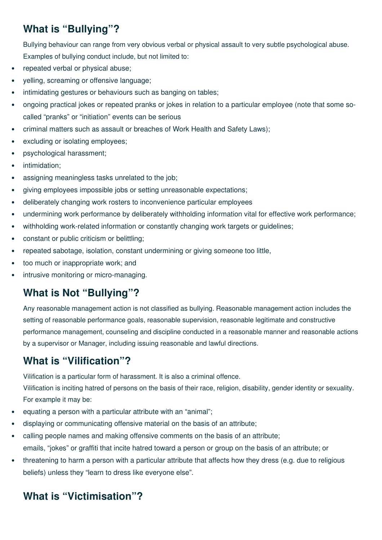# **What is "Bullying"?**

Bullying behaviour can range from very obvious verbal or physical assault to very subtle psychological abuse. Examples of bullying conduct include, but not limited to:

- repeated verbal or physical abuse;
- yelling, screaming or offensive language;
- intimidating gestures or behaviours such as banging on tables;
- ongoing practical jokes or repeated pranks or jokes in relation to a particular employee (note that some socalled "pranks" or "initiation" events can be serious
- criminal matters such as assault or breaches of Work Health and Safety Laws);
- excluding or isolating employees;
- psychological harassment;
- intimidation:
- assigning meaningless tasks unrelated to the job;
- giving employees impossible jobs or setting unreasonable expectations;
- deliberately changing work rosters to inconvenience particular employees
- undermining work performance by deliberately withholding information vital for effective work performance;
- withholding work-related information or constantly changing work targets or guidelines;
- constant or public criticism or belittling;
- repeated sabotage, isolation, constant undermining or giving someone too little,
- too much or inappropriate work; and
- intrusive monitoring or micro-managing.

### **What is Not "Bullying"?**

Any reasonable management action is not classified as bullying. Reasonable management action includes the setting of reasonable performance goals, reasonable supervision, reasonable legitimate and constructive performance management, counseling and discipline conducted in a reasonable manner and reasonable actions by a supervisor or Manager, including issuing reasonable and lawful directions.

### **What is "Vilification"?**

Vilification is a particular form of harassment. It is also a criminal offence.

Vilification is inciting hatred of persons on the basis of their race, religion, disability, gender identity or sexuality. For example it may be:

- equating a person with a particular attribute with an "animal";
- displaying or communicating offensive material on the basis of an attribute;
- calling people names and making offensive comments on the basis of an attribute; emails, "jokes" or graffiti that incite hatred toward a person or group on the basis of an attribute; or
- threatening to harm a person with a particular attribute that affects how they dress (e.g. due to religious beliefs) unless they "learn to dress like everyone else".

# **What is "Victimisation"?**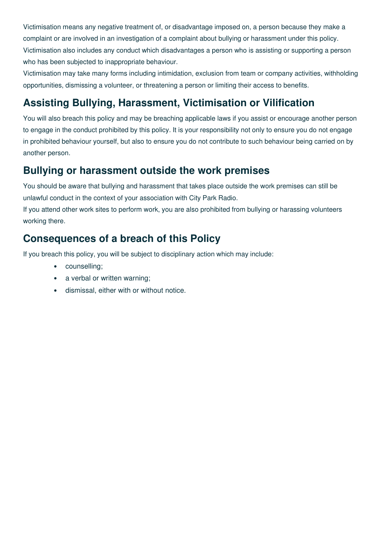Victimisation means any negative treatment of, or disadvantage imposed on, a person because they make a complaint or are involved in an investigation of a complaint about bullying or harassment under this policy. Victimisation also includes any conduct which disadvantages a person who is assisting or supporting a person who has been subjected to inappropriate behaviour.

Victimisation may take many forms including intimidation, exclusion from team or company activities, withholding opportunities, dismissing a volunteer, or threatening a person or limiting their access to benefits.

## **Assisting Bullying, Harassment, Victimisation or Vilification**

You will also breach this policy and may be breaching applicable laws if you assist or encourage another person to engage in the conduct prohibited by this policy. It is your responsibility not only to ensure you do not engage in prohibited behaviour yourself, but also to ensure you do not contribute to such behaviour being carried on by another person.

#### **Bullying or harassment outside the work premises**

You should be aware that bullying and harassment that takes place outside the work premises can still be unlawful conduct in the context of your association with City Park Radio.

If you attend other work sites to perform work, you are also prohibited from bullying or harassing volunteers working there.

## **Consequences of a breach of this Policy**

If you breach this policy, you will be subject to disciplinary action which may include:

- counselling;
- a verbal or written warning;
- dismissal, either with or without notice.